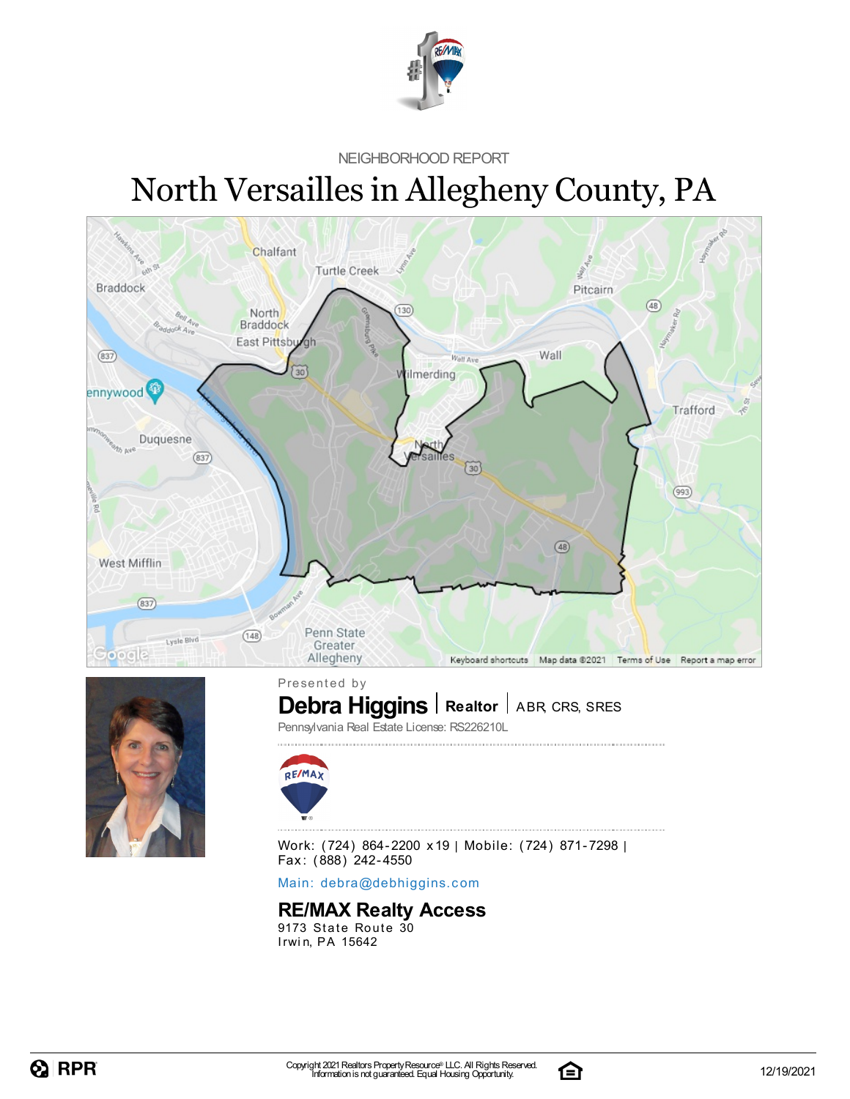

NEIGHBORHOOD REPORT

# North Versailles in Allegheny County, PA



![](_page_0_Picture_4.jpeg)

**Debra Higgins** | Realtor | ABR, CRS, SRES Presented by

Pennsylvania Real Estate License: RS226210L

![](_page_0_Picture_7.jpeg)

Work: (724) 864-2200 x19 | Mobile: (724) 871-7298 | Fax: (888) 242-4550

Main: debra[@](mailto:debra@debhiggins.com)debhiggins.com

#### **RE/MAX Realty Access**

9173 State Route 30 Irwin, PA 15642

![](_page_0_Picture_14.jpeg)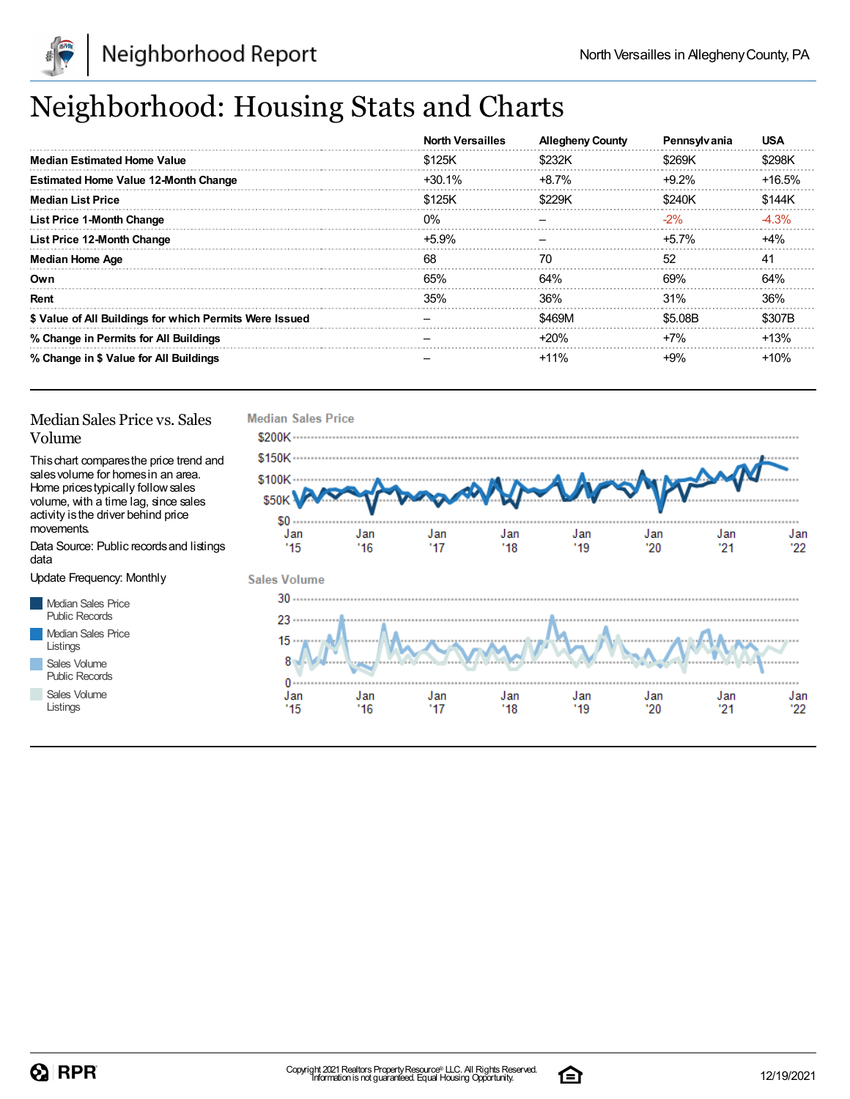![](_page_1_Picture_0.jpeg)

## Neighborhood: Housing Stats and Charts

|                                                         | <b>North Versailles</b> | <b>Allegheny County</b> | Pennsylvania | <b>USA</b> |
|---------------------------------------------------------|-------------------------|-------------------------|--------------|------------|
| <b>Median Estimated Home Value</b>                      | \$125K                  | \$232K                  | \$269K       | \$298K     |
| <b>Estimated Home Value 12-Month Change</b>             | $+30.1\%$               | $+8.7\%$                | $+9.2%$      | $+16.5%$   |
| <b>Median List Price</b>                                | \$125K                  | \$229K                  | \$240K       | \$144K     |
| <b>List Price 1-Month Change</b>                        | $0\%$                   |                         | $-2\%$       | $-4.3%$    |
| List Price 12-Month Change                              | $+5.9\%$                |                         | $+5.7\%$     | $+4%$      |
| <b>Median Home Age</b>                                  | 68                      | 70                      | 52           | 41         |
| Own                                                     | 65%                     | 64%                     | 69%          | 64%        |
| Rent                                                    | 35%                     | 36%                     | 31%          | 36%        |
| \$ Value of All Buildings for which Permits Were Issued |                         | \$469M                  | \$5.08B      | \$307B     |
| % Change in Permits for All Buildings                   |                         | $+20%$                  | $+7%$        | $+13%$     |
| % Change in \$ Value for All Buildings                  |                         | $+11%$                  | +9%          | +10%       |

#### Median Sales Price vs. Sales Volume

Thischart comparesthe price trend and salesvolume for homesin an area. Home pricestypically followsales volume, with a time lag, since sales activity is the driver behind price movements.

Data Source: Public recordsand listings data

Update Frequency: Monthly

Median Sales Price Public Records Median Sales Price Listings Sales Volume

Public Records

Sales Volume Listings

![](_page_1_Figure_12.jpeg)

![](_page_1_Picture_15.jpeg)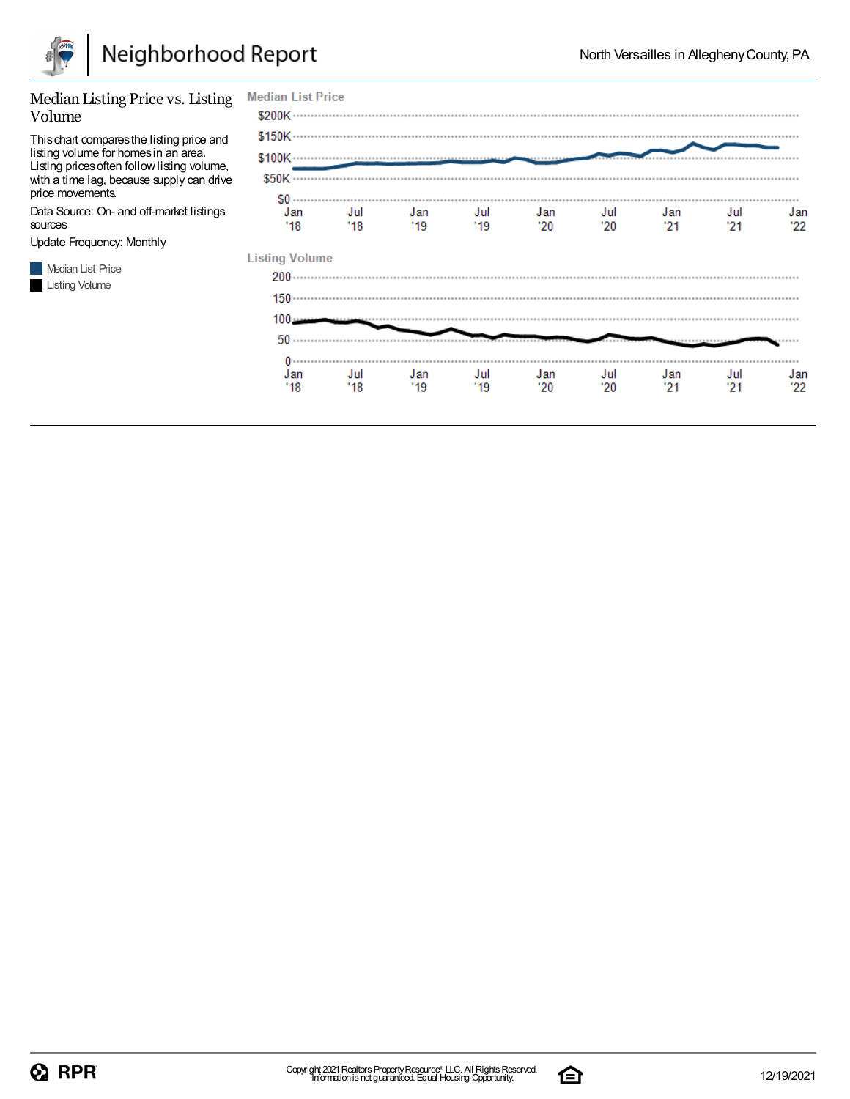![](_page_2_Picture_0.jpeg)

#### Median Listing Price vs. Listing **Median List Price** Volume Thischart comparesthe listing price and listing volume for homesin an area. Listing prices often follow listing volume, with a time lag, because supply can drive price movements. .......... .............................. Data Source: On- and off-market listings Jan Jul Jan Jul Jan Jul Jan Jul Jan  $'18$  $'18$  $19$  $'19$  $'20$  $'20$  $21$  $21$  $22$ sources Update Frequency: Monthly **Listing Volume Median List Price** Listing Volume  $100 0$  . . . . . . . . . . . . . . Jan Jul Jan Jul Jan Jul Jan Jul Jan  $'19$  $21$  $21$ '18 '18 '19  $'20$ '20  $22$

![](_page_2_Picture_6.jpeg)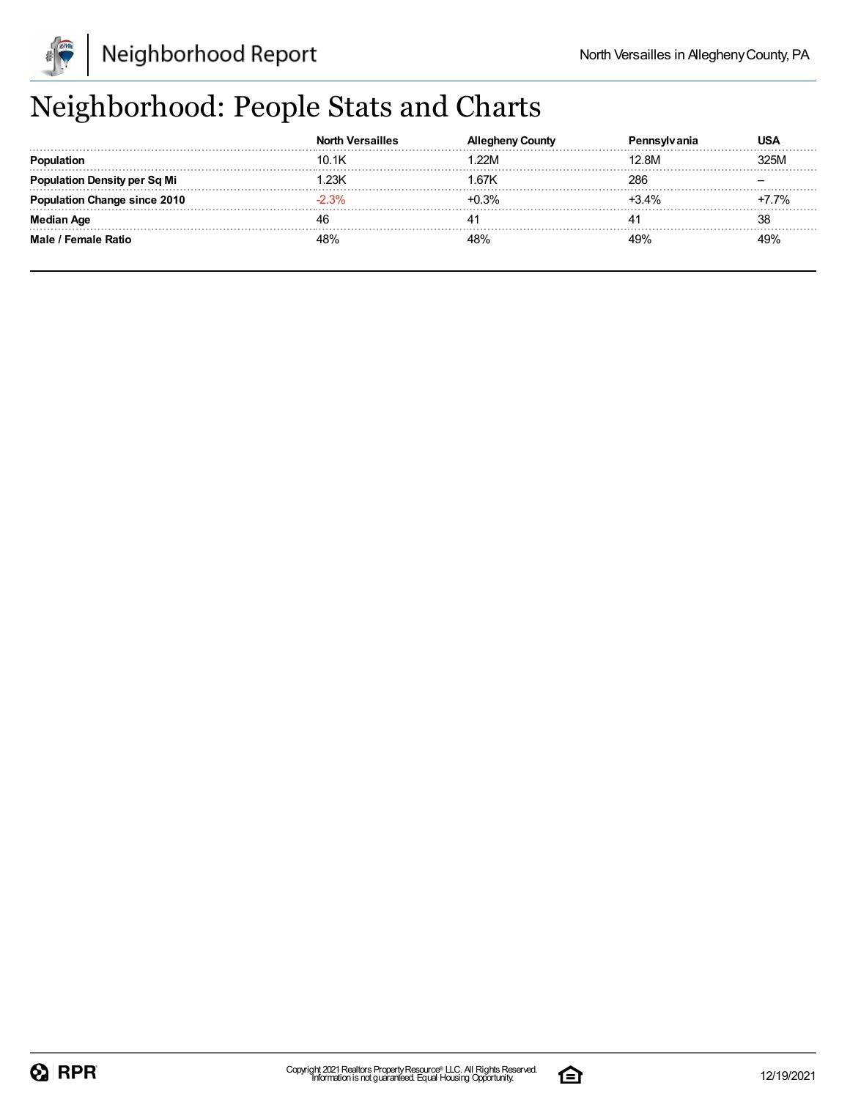![](_page_3_Picture_0.jpeg)

## Neighborhood: People Stats and Charts

|                                  | <b>North Versailles</b> | County | anıa    | USA  |
|----------------------------------|-------------------------|--------|---------|------|
|                                  | 10.1K                   | 22M    | 12.8M   | 325M |
| <b>Ilation Density per Sq Mi</b> | .23K                    | 1.67K  | 286     |      |
| Change since 2010                | $-2.3%$                 | +በ 3%  | $+3.4%$ | 7%   |
| Median Age                       |                         | 4      |         | 38   |
| Male / Female Ratio              | 180/                    |        | 49%     | 49%  |

![](_page_3_Picture_7.jpeg)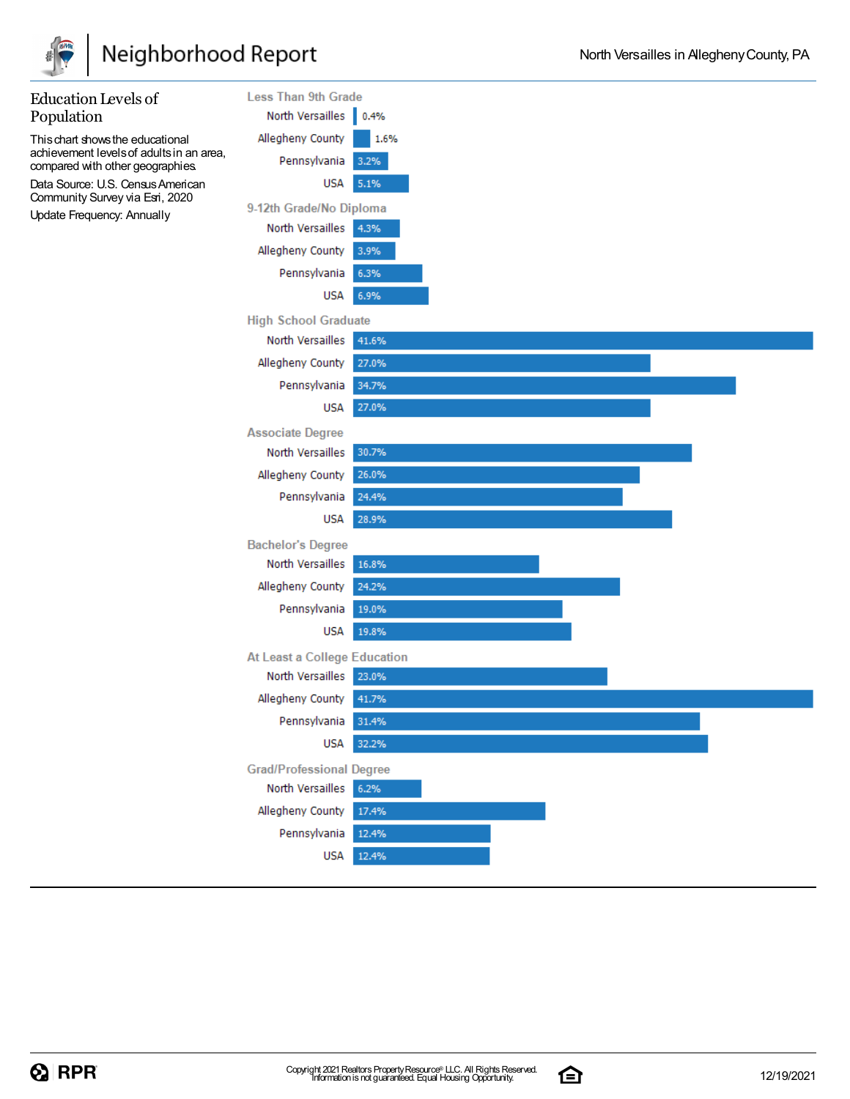![](_page_4_Picture_0.jpeg)

| Population<br>North Versailles 0.4%<br>Allegheny County<br>1.6%<br>This chart shows the educational<br>achievement levels of adults in an area,<br>Pennsylvania<br>3.2%<br>compared with other geographies.<br>Data Source: U.S. Census American<br><b>USA</b><br>5.1%<br>Community Survey via Esri, 2020<br>9-12th Grade/No Diploma<br>Update Frequency: Annually<br>North Versailles<br>4.3%<br>Allegheny County<br>3.9%<br>Pennsylvania<br>6.3%<br>USA<br>6.9%<br><b>High School Graduate</b><br>North Versailles<br>41.6%<br>Allegheny County<br>27.0%<br>Pennsylvania<br>34.7%<br>27.0%<br><b>USA</b><br><b>Associate Degree</b><br>North Versailles<br>30.7%<br>Allegheny County<br>26.0% | <b>Education Levels of</b> | <b>Less Than 9th Grade</b> |       |
|-------------------------------------------------------------------------------------------------------------------------------------------------------------------------------------------------------------------------------------------------------------------------------------------------------------------------------------------------------------------------------------------------------------------------------------------------------------------------------------------------------------------------------------------------------------------------------------------------------------------------------------------------------------------------------------------------|----------------------------|----------------------------|-------|
|                                                                                                                                                                                                                                                                                                                                                                                                                                                                                                                                                                                                                                                                                                 |                            |                            |       |
|                                                                                                                                                                                                                                                                                                                                                                                                                                                                                                                                                                                                                                                                                                 |                            |                            |       |
|                                                                                                                                                                                                                                                                                                                                                                                                                                                                                                                                                                                                                                                                                                 |                            |                            |       |
|                                                                                                                                                                                                                                                                                                                                                                                                                                                                                                                                                                                                                                                                                                 |                            |                            |       |
|                                                                                                                                                                                                                                                                                                                                                                                                                                                                                                                                                                                                                                                                                                 |                            |                            |       |
|                                                                                                                                                                                                                                                                                                                                                                                                                                                                                                                                                                                                                                                                                                 |                            |                            |       |
|                                                                                                                                                                                                                                                                                                                                                                                                                                                                                                                                                                                                                                                                                                 |                            |                            |       |
|                                                                                                                                                                                                                                                                                                                                                                                                                                                                                                                                                                                                                                                                                                 |                            |                            |       |
|                                                                                                                                                                                                                                                                                                                                                                                                                                                                                                                                                                                                                                                                                                 |                            |                            |       |
|                                                                                                                                                                                                                                                                                                                                                                                                                                                                                                                                                                                                                                                                                                 |                            |                            |       |
|                                                                                                                                                                                                                                                                                                                                                                                                                                                                                                                                                                                                                                                                                                 |                            |                            |       |
|                                                                                                                                                                                                                                                                                                                                                                                                                                                                                                                                                                                                                                                                                                 |                            |                            |       |
|                                                                                                                                                                                                                                                                                                                                                                                                                                                                                                                                                                                                                                                                                                 |                            |                            |       |
|                                                                                                                                                                                                                                                                                                                                                                                                                                                                                                                                                                                                                                                                                                 |                            |                            |       |
|                                                                                                                                                                                                                                                                                                                                                                                                                                                                                                                                                                                                                                                                                                 |                            |                            |       |
|                                                                                                                                                                                                                                                                                                                                                                                                                                                                                                                                                                                                                                                                                                 |                            |                            |       |
|                                                                                                                                                                                                                                                                                                                                                                                                                                                                                                                                                                                                                                                                                                 |                            |                            |       |
|                                                                                                                                                                                                                                                                                                                                                                                                                                                                                                                                                                                                                                                                                                 |                            | Pennsylvania               | 24.4% |
| <b>USA</b><br>28.9%                                                                                                                                                                                                                                                                                                                                                                                                                                                                                                                                                                                                                                                                             |                            |                            |       |
| <b>Bachelor's Degree</b>                                                                                                                                                                                                                                                                                                                                                                                                                                                                                                                                                                                                                                                                        |                            |                            |       |
| North Versailles<br>16.8%                                                                                                                                                                                                                                                                                                                                                                                                                                                                                                                                                                                                                                                                       |                            |                            |       |
| Allegheny County<br>24.2%                                                                                                                                                                                                                                                                                                                                                                                                                                                                                                                                                                                                                                                                       |                            |                            |       |
| Pennsylvania<br>19.0%                                                                                                                                                                                                                                                                                                                                                                                                                                                                                                                                                                                                                                                                           |                            |                            |       |
| <b>USA</b><br>19.8%                                                                                                                                                                                                                                                                                                                                                                                                                                                                                                                                                                                                                                                                             |                            |                            |       |
| At Least a College Education                                                                                                                                                                                                                                                                                                                                                                                                                                                                                                                                                                                                                                                                    |                            |                            |       |
| North Versailles<br>23.0%                                                                                                                                                                                                                                                                                                                                                                                                                                                                                                                                                                                                                                                                       |                            |                            |       |
| Allegheny County<br>41.7%                                                                                                                                                                                                                                                                                                                                                                                                                                                                                                                                                                                                                                                                       |                            |                            |       |
| Pennsylvania<br>31.4%                                                                                                                                                                                                                                                                                                                                                                                                                                                                                                                                                                                                                                                                           |                            |                            |       |
| <b>USA</b><br>32.2%                                                                                                                                                                                                                                                                                                                                                                                                                                                                                                                                                                                                                                                                             |                            |                            |       |
| <b>Grad/Professional Degree</b>                                                                                                                                                                                                                                                                                                                                                                                                                                                                                                                                                                                                                                                                 |                            |                            |       |
| North Versailles<br>6.2%                                                                                                                                                                                                                                                                                                                                                                                                                                                                                                                                                                                                                                                                        |                            |                            |       |
| Allegheny County<br>17.4%                                                                                                                                                                                                                                                                                                                                                                                                                                                                                                                                                                                                                                                                       |                            |                            |       |
| Pennsylvania<br>12.4%                                                                                                                                                                                                                                                                                                                                                                                                                                                                                                                                                                                                                                                                           |                            |                            |       |
| 12.4%<br>USA                                                                                                                                                                                                                                                                                                                                                                                                                                                                                                                                                                                                                                                                                    |                            |                            |       |

![](_page_4_Picture_6.jpeg)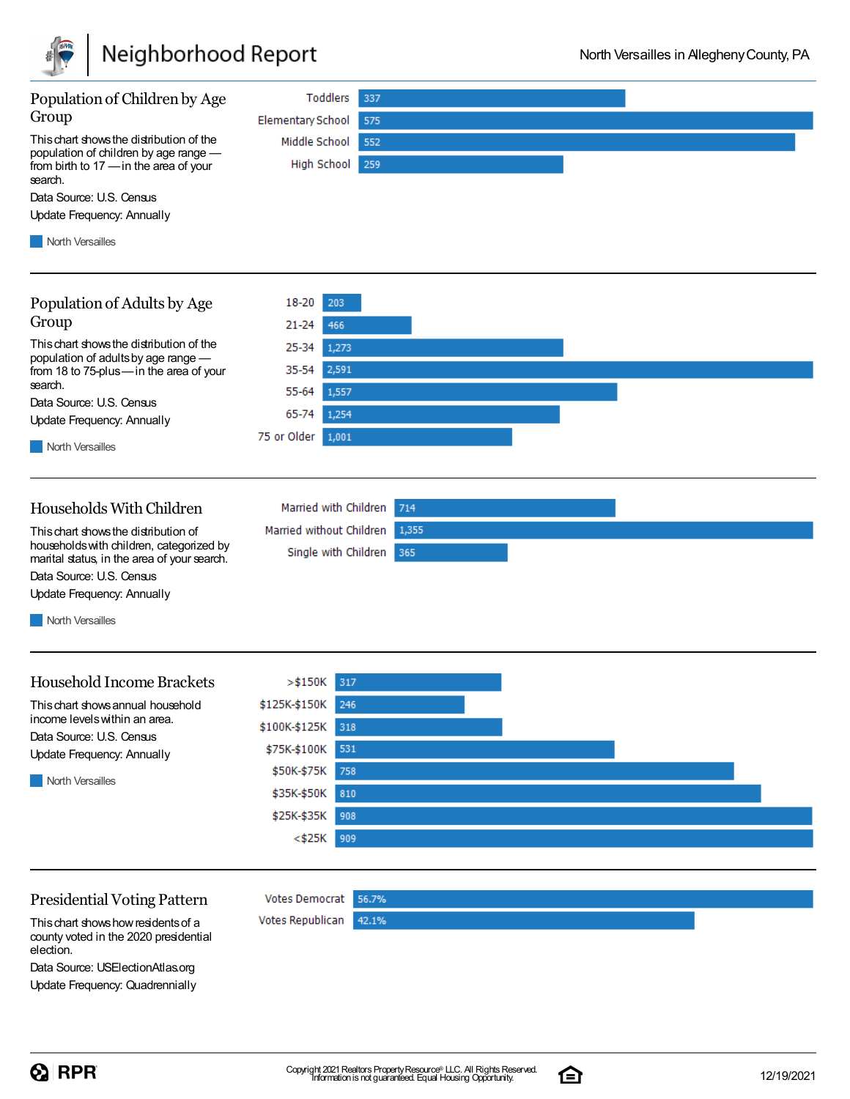![](_page_5_Picture_0.jpeg)

| Population of Children by Age                                                                                                          | Toddlers                                         | 337          |  |
|----------------------------------------------------------------------------------------------------------------------------------------|--------------------------------------------------|--------------|--|
| Group                                                                                                                                  | <b>Elementary School</b>                         | 575          |  |
| This chart shows the distribution of the<br>population of children by age range -<br>from birth to 17 - in the area of your<br>search. | Middle School<br>High School                     | 552<br>259   |  |
| Data Source: U.S. Census                                                                                                               |                                                  |              |  |
| Update Frequency: Annually                                                                                                             |                                                  |              |  |
| <b>North Versailles</b>                                                                                                                |                                                  |              |  |
| Population of Adults by Age                                                                                                            | 18-20<br>203                                     |              |  |
| Group                                                                                                                                  | $21 - 24$<br>466                                 |              |  |
| This chart shows the distribution of the                                                                                               | 25-34<br>1,273                                   |              |  |
| population of adults by age range -<br>from 18 to 75-plus-in the area of your                                                          | 2,591<br>35-54                                   |              |  |
| search.                                                                                                                                | 55-64<br>1,557                                   |              |  |
| Data Source: U.S. Census                                                                                                               | 65-74<br>1,254                                   |              |  |
| Update Frequency: Annually                                                                                                             | 75 or Older<br>1,001                             |              |  |
| <b>North Versailles</b>                                                                                                                |                                                  |              |  |
| Households With Children                                                                                                               | Married with Children                            | 714          |  |
| This chart shows the distribution of<br>households with children, categorized by<br>marital status, in the area of your search.        | Married without Children<br>Single with Children | 1,355<br>365 |  |
| Data Source: U.S. Census                                                                                                               |                                                  |              |  |
| Update Frequency: Annually                                                                                                             |                                                  |              |  |
| <b>North Versailles</b>                                                                                                                |                                                  |              |  |
| <b>Household Income Brackets</b>                                                                                                       | $>$ \$150K<br>317                                |              |  |
| This chart shows annual household                                                                                                      | \$125K-\$150K 246                                |              |  |
| income levels within an area.                                                                                                          | \$100K-\$125K 318                                |              |  |
| Data Source: U.S. Census<br>Update Frequency: Annually                                                                                 | \$75K-\$100K<br>531                              |              |  |
|                                                                                                                                        | \$50K-\$75K<br>758                               |              |  |
| <b>North Versailles</b>                                                                                                                | \$35K-\$50K<br>810                               |              |  |
|                                                                                                                                        | \$25K-\$35K<br>908                               |              |  |
|                                                                                                                                        | $<$ \$25K<br>909                                 |              |  |
|                                                                                                                                        |                                                  |              |  |
| <b>Presidential Voting Pattern</b>                                                                                                     | <b>Votes Democrat</b>                            | 56.7%        |  |
| This chart shows how residents of a<br>counturated in the 2020 proddential                                                             | Votes Republican                                 | 42.1%        |  |

county voted in the 2020 presidential election.

Data Source: USElectionAtlas.org Update Frequency: Quadrennially

![](_page_5_Picture_8.jpeg)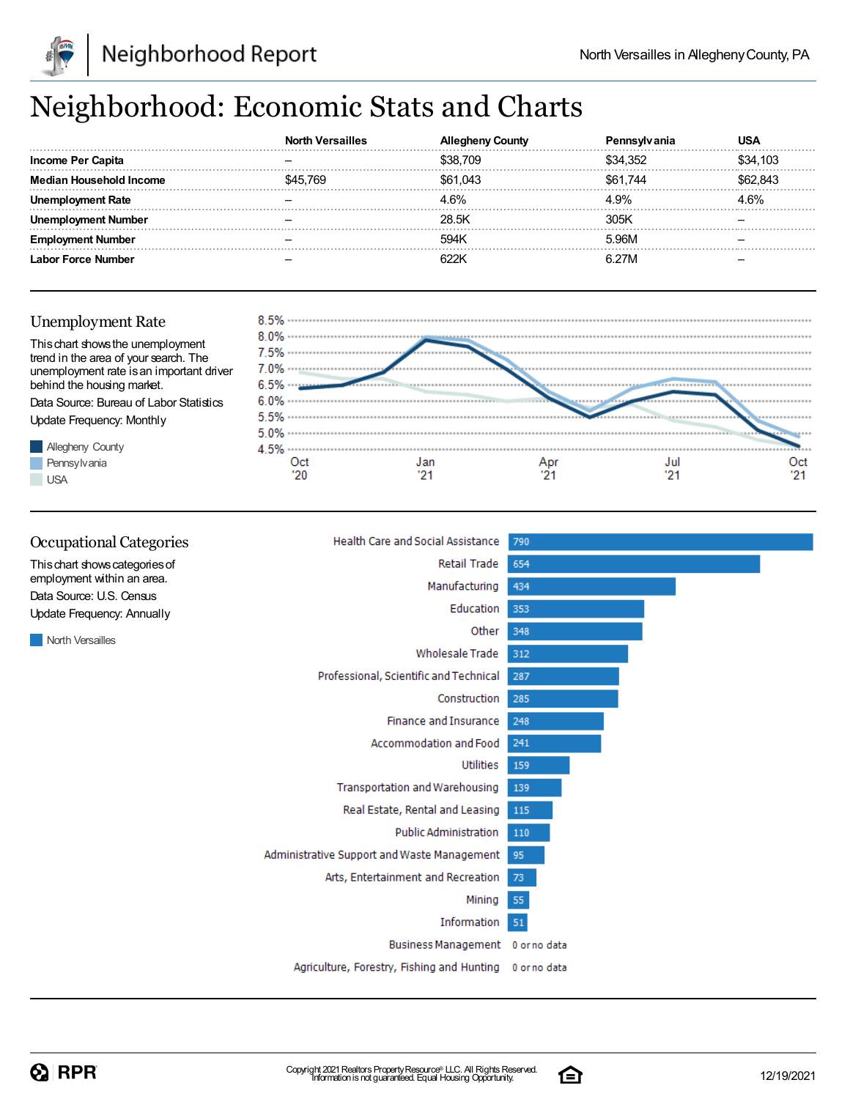![](_page_6_Picture_1.jpeg)

## Neighborhood: Economic Stats and Charts

|                          | Versailles |          |          |          |
|--------------------------|------------|----------|----------|----------|
| <b>Income Per Capita</b> |            | \$38,709 | \$34.352 | \$34,103 |
| Median Household Income  | - 769      | \$61.043 | \$61.744 | 62.843   |
|                          |            | 4.6%     | 4.9%     | " 6%     |
| Number                   |            | 28.5K    | 305K     |          |
| Number                   |            | 594K     | 5.96M    |          |
| Labor Force Number       |            | คววห     | R 27M    |          |

#### Unemployment Rate

![](_page_6_Figure_6.jpeg)

![](_page_6_Figure_7.jpeg)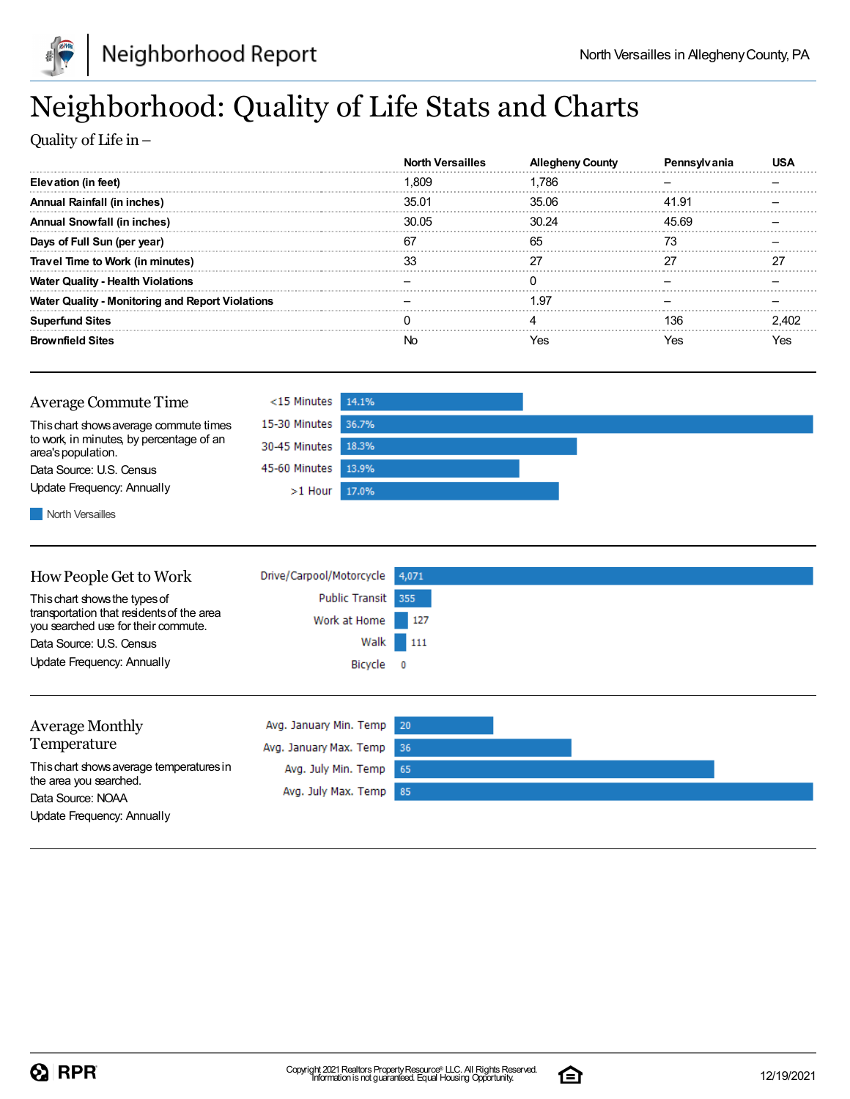![](_page_7_Picture_0.jpeg)

![](_page_7_Picture_1.jpeg)

## Neighborhood: Quality of Life Stats and Charts

Quality of Life in–

|                                                         | <b>North Versailles</b> | <b>County</b> |       |     |
|---------------------------------------------------------|-------------------------|---------------|-------|-----|
| Elevation (in feet)                                     | ∣.809                   | .786          |       |     |
| <b>Annual Rainfall (in inches)</b>                      | 35.01                   | 35.06         | 41.91 |     |
| Annual Snowfall (in inches)                             | 30.05                   | 30.24         | 45.69 |     |
| Days of Full Sun (per year)                             | 67                      | 65            |       |     |
| Travel Time to Work (in minutes)                        |                         |               |       |     |
| <b>Water Quality - Health Violations</b>                |                         |               |       |     |
| <b>Water Quality - Monitoring and Report Violations</b> |                         | 1.97          |       |     |
| <b>Superfund Sites</b>                                  |                         |               | 136   |     |
| <b>Brownfield Sites</b>                                 | Νo                      | Yes           | es?   | 7es |

![](_page_7_Figure_6.jpeg)

North Versailles

| How People Get to Work                                                                                            | Drive/Carpool/Motorcycle           | 4,071    |
|-------------------------------------------------------------------------------------------------------------------|------------------------------------|----------|
| This chart shows the types of<br>transportation that residents of the area<br>you searched use for their commute. | Public Transit 355<br>Work at Home | $-127$   |
| Data Source: U.S. Census                                                                                          |                                    | Walk 111 |
| Update Frequency: Annually                                                                                        | Bicycle 0                          |          |
|                                                                                                                   |                                    |          |
| <b>Average Monthly</b>                                                                                            | Avg. January Min. Temp 20          |          |
| Temperature                                                                                                       | Avg. January Max. Temp             | -36      |

65

85

Avg. July Min. Temp

Avg. July Max. Temp

Thischart showsaverage temperaturesin the area you searched. Data Source: NOAA Update Frequency: Annually

![](_page_7_Picture_11.jpeg)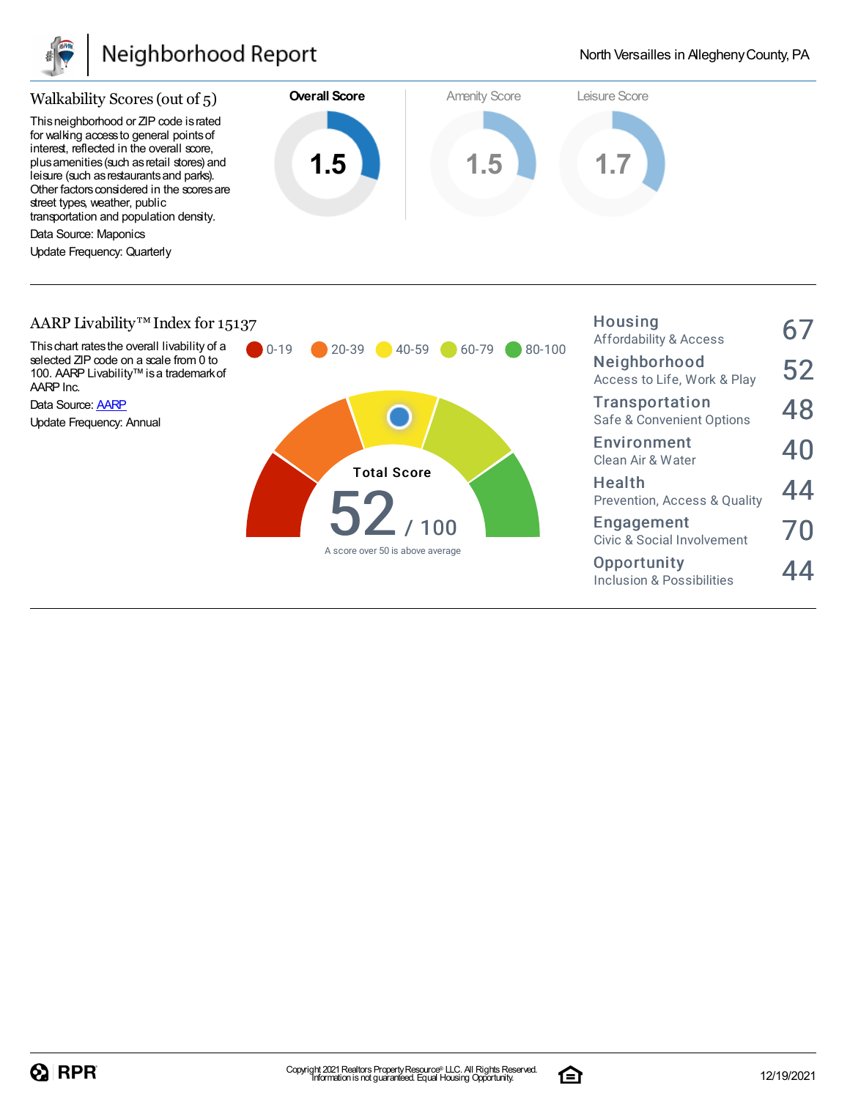![](_page_8_Picture_0.jpeg)

### Neighborhood Report

Housing

![](_page_8_Figure_3.jpeg)

#### AARP Livability<sup>™</sup> Index for 15137

![](_page_8_Figure_5.jpeg)

![](_page_8_Picture_8.jpeg)